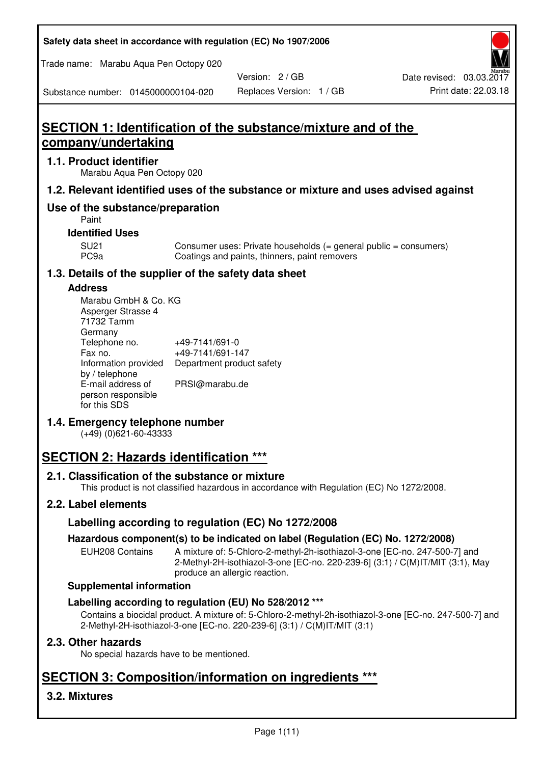| Safety data sheet in accordance with regulation (EC) No 1907/2006 |  |
|-------------------------------------------------------------------|--|
|-------------------------------------------------------------------|--|

Trade name: Marabu Aqua Pen Octopy 020

Version: 2 / GB

Substance number: 0145000000104-020

# **SECTION 1: Identification of the substance/mixture and of the company/undertaking**

# **1.1. Product identifier**

Marabu Aqua Pen Octopy 020

# **1.2. Relevant identified uses of the substance or mixture and uses advised against**

# **Use of the substance/preparation**

Paint

# **Identified Uses**

SU21 Consumer uses: Private households (= general public = consumers)<br>PC9a Coatings and paints, thinners, paint removers Coatings and paints, thinners, paint removers

# **1.3. Details of the supplier of the safety data sheet**

### **Address**

| Marabu GmbH & Co. KG |                           |
|----------------------|---------------------------|
| Asperger Strasse 4   |                           |
| 71732 Tamm           |                           |
| Germany              |                           |
| Telephone no.        | +49-7141/691-0            |
| Fax no.              | +49-7141/691-147          |
| Information provided | Department product safety |
| by / telephone       |                           |
| E-mail address of    | PRSI@marabu.de            |
| person responsible   |                           |
| for this SDS         |                           |

# **1.4. Emergency telephone number**

(+49) (0)621-60-43333

# **SECTION 2: Hazards identification \*\*\***

# **2.1. Classification of the substance or mixture**

This product is not classified hazardous in accordance with Regulation (EC) No 1272/2008.

# **2.2. Label elements**

# **Labelling according to regulation (EC) No 1272/2008**

# **Hazardous component(s) to be indicated on label (Regulation (EC) No. 1272/2008)**

EUH208 Contains A mixture of: 5-Chloro-2-methyl-2h-isothiazol-3-one [EC-no. 247-500-7] and 2-Methyl-2H-isothiazol-3-one [EC-no. 220-239-6] (3:1) / C(M)IT/MIT (3:1), May produce an allergic reaction.

#### **Supplemental information**

# **Labelling according to regulation (EU) No 528/2012 \*\*\***

Contains a biocidal product. A mixture of: 5-Chloro-2-methyl-2h-isothiazol-3-one [EC-no. 247-500-7] and 2-Methyl-2H-isothiazol-3-one [EC-no. 220-239-6] (3:1) / C(M)IT/MIT (3:1)

# **2.3. Other hazards**

No special hazards have to be mentioned.

# **SECTION 3: Composition/information on ingredients \*\*\***

# **3.2. Mixtures**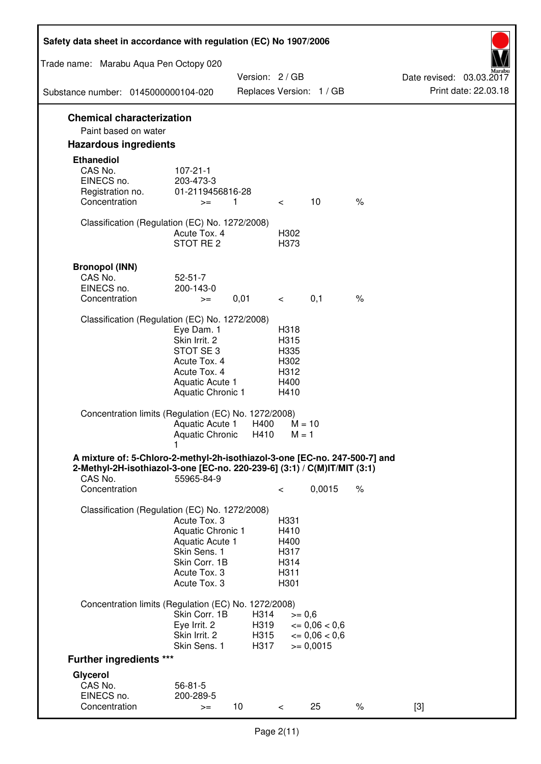| Safety data sheet in accordance with regulation (EC) No 1907/2006                                                                                                 |                                                                                                                         |                              |                                                      |                                                                  |      |                                                  |
|-------------------------------------------------------------------------------------------------------------------------------------------------------------------|-------------------------------------------------------------------------------------------------------------------------|------------------------------|------------------------------------------------------|------------------------------------------------------------------|------|--------------------------------------------------|
| Trade name: Marabu Aqua Pen Octopy 020                                                                                                                            |                                                                                                                         |                              |                                                      |                                                                  |      |                                                  |
| Substance number: 0145000000104-020                                                                                                                               |                                                                                                                         | Version: 2 / GB              |                                                      | Replaces Version: 1 / GB                                         |      | Date revised: 03.03.2017<br>Print date: 22.03.18 |
| <b>Chemical characterization</b>                                                                                                                                  |                                                                                                                         |                              |                                                      |                                                                  |      |                                                  |
| Paint based on water                                                                                                                                              |                                                                                                                         |                              |                                                      |                                                                  |      |                                                  |
| <b>Hazardous ingredients</b>                                                                                                                                      |                                                                                                                         |                              |                                                      |                                                                  |      |                                                  |
| <b>Ethanediol</b><br>CAS No.<br>EINECS no.<br>Registration no.<br>Concentration                                                                                   | $107 - 21 - 1$<br>203-473-3<br>01-2119456816-28<br>$>=$                                                                 | 1                            | $\overline{\phantom{0}}$                             | 10                                                               | $\%$ |                                                  |
| Classification (Regulation (EC) No. 1272/2008)                                                                                                                    | Acute Tox. 4<br>STOT RE 2                                                                                               |                              | H302<br>H373                                         |                                                                  |      |                                                  |
| <b>Bronopol (INN)</b><br>CAS No.<br>EINECS no.<br>Concentration                                                                                                   | $52 - 51 - 7$<br>200-143-0<br>$>=$                                                                                      | 0,01                         | $\prec$ and $\sim$                                   | 0,1                                                              | $\%$ |                                                  |
| Classification (Regulation (EC) No. 1272/2008)                                                                                                                    |                                                                                                                         |                              |                                                      |                                                                  |      |                                                  |
|                                                                                                                                                                   | Eye Dam. 1<br>Skin Irrit. 2<br>STOT SE 3<br>Acute Tox. 4<br>Acute Tox. 4<br>Aquatic Acute 1<br><b>Aquatic Chronic 1</b> |                              | H318<br>H315<br>H335<br>H302<br>H312<br>H400<br>H410 |                                                                  |      |                                                  |
| Concentration limits (Regulation (EC) No. 1272/2008)                                                                                                              | Aquatic Acute 1<br>Aquatic Chronic H410                                                                                 | H400                         | $M = 10$<br>$M = 1$                                  |                                                                  |      |                                                  |
| A mixture of: 5-Chloro-2-methyl-2h-isothiazol-3-one [EC-no. 247-500-7] and<br>2-Methyl-2H-isothiazol-3-one [EC-no. 220-239-6] (3:1) / C(M)IT/MIT (3:1)<br>CAS No. | 55965-84-9                                                                                                              |                              |                                                      |                                                                  |      |                                                  |
| Concentration                                                                                                                                                     |                                                                                                                         |                              | $\,<\,$                                              | 0,0015                                                           | $\%$ |                                                  |
| Classification (Regulation (EC) No. 1272/2008)                                                                                                                    | Acute Tox. 3<br>Aquatic Chronic 1<br>Aquatic Acute 1<br>Skin Sens. 1<br>Skin Corr. 1B<br>Acute Tox. 3<br>Acute Tox. 3   |                              | H331<br>H410<br>H400<br>H317<br>H314<br>H311<br>H301 |                                                                  |      |                                                  |
| Concentration limits (Regulation (EC) No. 1272/2008)                                                                                                              |                                                                                                                         |                              |                                                      |                                                                  |      |                                                  |
|                                                                                                                                                                   | Skin Corr. 1B<br>Eye Irrit. 2<br>Skin Irrit. 2<br>Skin Sens. 1                                                          | H314<br>H319<br>H315<br>H317 | $>= 0,6$                                             | $\epsilon = 0.06 < 0.6$<br>$\epsilon = 0.06 < 0.6$<br>$= 0,0015$ |      |                                                  |
| <b>Further ingredients ***</b>                                                                                                                                    |                                                                                                                         |                              |                                                      |                                                                  |      |                                                  |
| Glycerol<br>CAS No.<br>EINECS no.<br>Concentration                                                                                                                | $56 - 81 - 5$<br>200-289-5<br>$>=$                                                                                      | 10 <sup>°</sup>              | $\,<\,$                                              | 25                                                               | $\%$ | $[3]$                                            |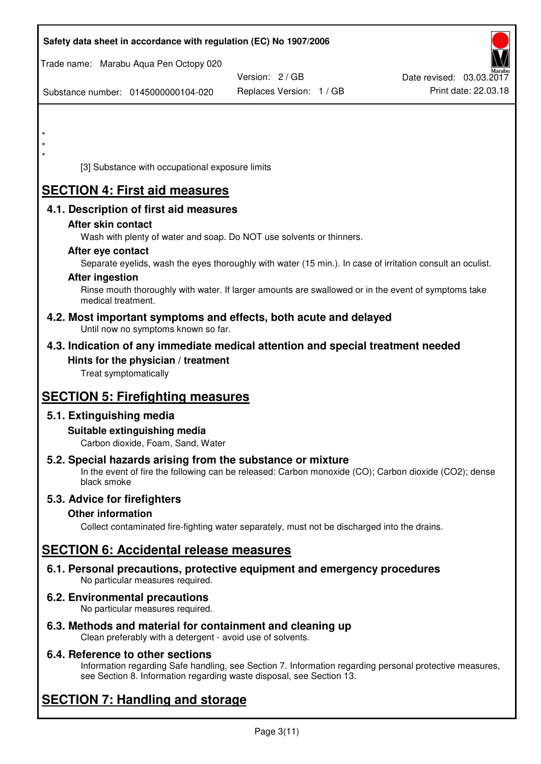| Safety data sheet in accordance with regulation (EC) No 1907/2006                                                                                                                  |                          |                          |
|------------------------------------------------------------------------------------------------------------------------------------------------------------------------------------|--------------------------|--------------------------|
| Trade name: Marabu Aqua Pen Octopy 020                                                                                                                                             | Version: 2 / GB          | Date revised: 03.03.2017 |
| Substance number: 0145000000104-020                                                                                                                                                | Replaces Version: 1 / GB | Print date: 22.03.18     |
|                                                                                                                                                                                    |                          |                          |
|                                                                                                                                                                                    |                          |                          |
| $\star$<br>[3] Substance with occupational exposure limits                                                                                                                         |                          |                          |
|                                                                                                                                                                                    |                          |                          |
| <b>SECTION 4: First aid measures</b>                                                                                                                                               |                          |                          |
| 4.1. Description of first aid measures<br>After skin contact                                                                                                                       |                          |                          |
| Wash with plenty of water and soap. Do NOT use solvents or thinners.                                                                                                               |                          |                          |
| After eye contact                                                                                                                                                                  |                          |                          |
| Separate eyelids, wash the eyes thoroughly with water (15 min.). In case of irritation consult an oculist.<br><b>After ingestion</b>                                               |                          |                          |
| Rinse mouth thoroughly with water. If larger amounts are swallowed or in the event of symptoms take<br>medical treatment.                                                          |                          |                          |
| 4.2. Most important symptoms and effects, both acute and delayed<br>Until now no symptoms known so far.                                                                            |                          |                          |
| 4.3. Indication of any immediate medical attention and special treatment needed                                                                                                    |                          |                          |
| Hints for the physician / treatment<br>Treat symptomatically                                                                                                                       |                          |                          |
| <b>SECTION 5: Firefighting measures</b>                                                                                                                                            |                          |                          |
| 5.1. Extinguishing media                                                                                                                                                           |                          |                          |
| Suitable extinguishing media<br>Carbon dioxide, Foam, Sand, Water                                                                                                                  |                          |                          |
| 5.2. Special hazards arising from the substance or mixture<br>In the event of fire the following can be released: Carbon monoxide (CO); Carbon dioxide (CO2); dense<br>black smoke |                          |                          |
| 5.3. Advice for firefighters                                                                                                                                                       |                          |                          |
| <b>Other information</b><br>Collect contaminated fire-fighting water separately, must not be discharged into the drains.                                                           |                          |                          |
| <b>SECTION 6: Accidental release measures</b>                                                                                                                                      |                          |                          |
| 6.1. Personal precautions, protective equipment and emergency procedures<br>No particular measures required.                                                                       |                          |                          |
| 6.2. Environmental precautions<br>No particular measures required.                                                                                                                 |                          |                          |
|                                                                                                                                                                                    |                          |                          |

**6.3. Methods and material for containment and cleaning up**  Clean preferably with a detergent - avoid use of solvents.

# **6.4. Reference to other sections**

Information regarding Safe handling, see Section 7. Information regarding personal protective measures, see Section 8. Information regarding waste disposal, see Section 13.

# **SECTION 7: Handling and storage**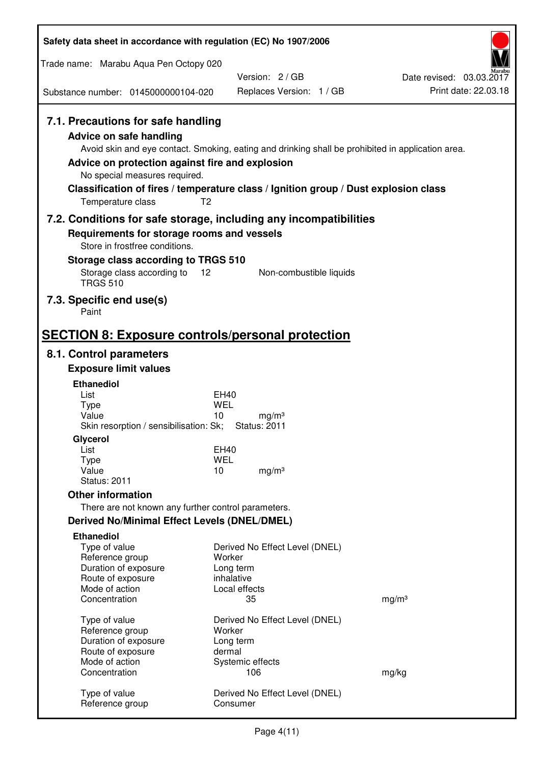| Safety data sheet in accordance with regulation (EC) No 1907/2006                                                                                                             |                                                                                                                                                                                                            |                                                  |
|-------------------------------------------------------------------------------------------------------------------------------------------------------------------------------|------------------------------------------------------------------------------------------------------------------------------------------------------------------------------------------------------------|--------------------------------------------------|
| Trade name: Marabu Aqua Pen Octopy 020                                                                                                                                        |                                                                                                                                                                                                            |                                                  |
|                                                                                                                                                                               | Version: 2/GB                                                                                                                                                                                              | Date revised: 03.03.2017<br>Print date: 22.03.18 |
| Substance number: 0145000000104-020                                                                                                                                           | Replaces Version: 1 / GB                                                                                                                                                                                   |                                                  |
| 7.1. Precautions for safe handling<br><b>Advice on safe handling</b><br>Advice on protection against fire and explosion<br>No special measures required.<br>Temperature class | Avoid skin and eye contact. Smoking, eating and drinking shall be prohibited in application area.<br>Classification of fires / temperature class / Ignition group / Dust explosion class<br>T <sub>2</sub> |                                                  |
| 7.2. Conditions for safe storage, including any incompatibilities                                                                                                             |                                                                                                                                                                                                            |                                                  |
| Requirements for storage rooms and vessels<br>Store in frostfree conditions.                                                                                                  |                                                                                                                                                                                                            |                                                  |
| Storage class according to TRGS 510                                                                                                                                           |                                                                                                                                                                                                            |                                                  |
| Storage class according to<br><b>TRGS 510</b>                                                                                                                                 | 12<br>Non-combustible liquids                                                                                                                                                                              |                                                  |
| 7.3. Specific end use(s)<br>Paint                                                                                                                                             |                                                                                                                                                                                                            |                                                  |
| <b>SECTION 8: Exposure controls/personal protection</b>                                                                                                                       |                                                                                                                                                                                                            |                                                  |
| 8.1. Control parameters                                                                                                                                                       |                                                                                                                                                                                                            |                                                  |
| <b>Exposure limit values</b>                                                                                                                                                  |                                                                                                                                                                                                            |                                                  |
| <b>Ethanediol</b><br>List                                                                                                                                                     | EH40                                                                                                                                                                                                       |                                                  |
| <b>Type</b>                                                                                                                                                                   | <b>WEL</b>                                                                                                                                                                                                 |                                                  |
| Value<br>Skin resorption / sensibilisation: Sk;                                                                                                                               | 10<br>mg/m <sup>3</sup><br><b>Status: 2011</b>                                                                                                                                                             |                                                  |
| Glycerol                                                                                                                                                                      |                                                                                                                                                                                                            |                                                  |
| List                                                                                                                                                                          | EH40                                                                                                                                                                                                       |                                                  |
| <b>Type</b><br>Value                                                                                                                                                          | <b>WEL</b><br>10<br>mg/m <sup>3</sup>                                                                                                                                                                      |                                                  |
| <b>Status: 2011</b>                                                                                                                                                           |                                                                                                                                                                                                            |                                                  |
| <b>Other information</b>                                                                                                                                                      |                                                                                                                                                                                                            |                                                  |
| There are not known any further control parameters.                                                                                                                           |                                                                                                                                                                                                            |                                                  |
| <b>Derived No/Minimal Effect Levels (DNEL/DMEL)</b>                                                                                                                           |                                                                                                                                                                                                            |                                                  |
| <b>Ethanediol</b><br>Type of value                                                                                                                                            | Derived No Effect Level (DNEL)                                                                                                                                                                             |                                                  |
| Reference group                                                                                                                                                               | Worker                                                                                                                                                                                                     |                                                  |
| Duration of exposure<br>Route of exposure                                                                                                                                     | Long term<br>inhalative                                                                                                                                                                                    |                                                  |
| Mode of action                                                                                                                                                                | Local effects                                                                                                                                                                                              |                                                  |
| Concentration                                                                                                                                                                 | 35                                                                                                                                                                                                         | mg/m <sup>3</sup>                                |
| Type of value                                                                                                                                                                 | Derived No Effect Level (DNEL)                                                                                                                                                                             |                                                  |
| Reference group                                                                                                                                                               | Worker                                                                                                                                                                                                     |                                                  |
| Duration of exposure<br>Route of exposure                                                                                                                                     | Long term<br>dermal                                                                                                                                                                                        |                                                  |
| Mode of action                                                                                                                                                                | Systemic effects                                                                                                                                                                                           |                                                  |
| Concentration                                                                                                                                                                 | 106                                                                                                                                                                                                        | mg/kg                                            |
| Type of value<br>Reference group                                                                                                                                              | Derived No Effect Level (DNEL)<br>Consumer                                                                                                                                                                 |                                                  |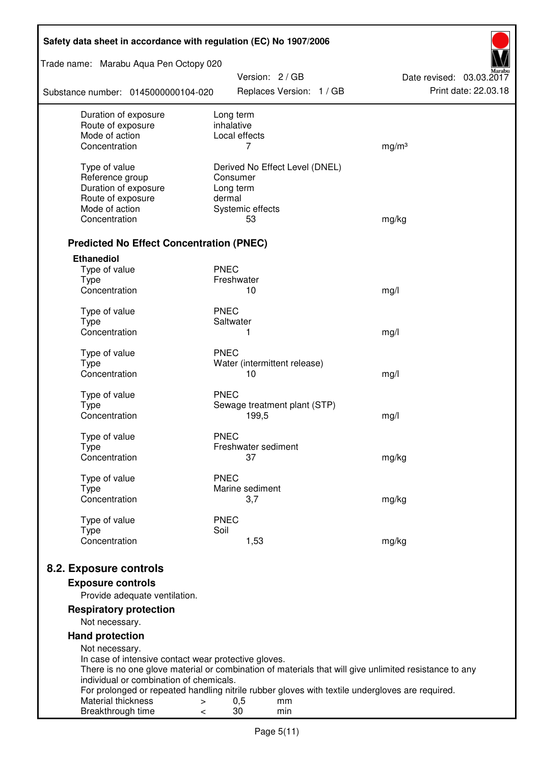| Safety data sheet in accordance with regulation (EC) No 1907/2006 |                                                                                                       |                          |
|-------------------------------------------------------------------|-------------------------------------------------------------------------------------------------------|--------------------------|
| Trade name: Marabu Aqua Pen Octopy 020                            | Version: 2 / GB                                                                                       | Date revised: 03.03.2017 |
| Substance number: 0145000000104-020                               | Replaces Version: 1 / GB                                                                              | Print date: 22.03.18     |
| Duration of exposure                                              | Long term                                                                                             |                          |
| Route of exposure<br>Mode of action                               | inhalative<br>Local effects                                                                           |                          |
| Concentration                                                     | 7                                                                                                     | mg/m <sup>3</sup>        |
|                                                                   |                                                                                                       |                          |
| Type of value                                                     | Derived No Effect Level (DNEL)                                                                        |                          |
| Reference group                                                   | Consumer                                                                                              |                          |
| Duration of exposure<br>Route of exposure                         | Long term<br>dermal                                                                                   |                          |
| Mode of action                                                    | Systemic effects                                                                                      |                          |
| Concentration                                                     | 53                                                                                                    | mg/kg                    |
|                                                                   |                                                                                                       |                          |
| <b>Predicted No Effect Concentration (PNEC)</b>                   |                                                                                                       |                          |
| <b>Ethanediol</b>                                                 |                                                                                                       |                          |
| Type of value                                                     | <b>PNEC</b>                                                                                           |                          |
| <b>Type</b><br>Concentration                                      | Freshwater<br>10                                                                                      |                          |
|                                                                   |                                                                                                       | mg/l                     |
| Type of value                                                     | <b>PNEC</b>                                                                                           |                          |
| <b>Type</b>                                                       | Saltwater                                                                                             |                          |
| Concentration                                                     | 1                                                                                                     | mg/l                     |
| Type of value                                                     | <b>PNEC</b>                                                                                           |                          |
| <b>Type</b>                                                       | Water (intermittent release)                                                                          |                          |
| Concentration                                                     | 10                                                                                                    | mg/l                     |
| Type of value                                                     | <b>PNEC</b>                                                                                           |                          |
| <b>Type</b>                                                       | Sewage treatment plant (STP)                                                                          |                          |
| Concentration                                                     | 199,5                                                                                                 | mg/l                     |
| Type of value                                                     | <b>PNEC</b>                                                                                           |                          |
| Type                                                              | Freshwater sediment                                                                                   |                          |
| Concentration                                                     | 37                                                                                                    | mg/kg                    |
|                                                                   | <b>PNEC</b>                                                                                           |                          |
| Type of value<br><b>Type</b>                                      | Marine sediment                                                                                       |                          |
| Concentration                                                     | 3,7                                                                                                   | mg/kg                    |
|                                                                   |                                                                                                       |                          |
| Type of value                                                     | <b>PNEC</b><br>Soil                                                                                   |                          |
| <b>Type</b><br>Concentration                                      | 1,53                                                                                                  | mg/kg                    |
|                                                                   |                                                                                                       |                          |
| 8.2. Exposure controls                                            |                                                                                                       |                          |
| <b>Exposure controls</b>                                          |                                                                                                       |                          |
| Provide adequate ventilation.                                     |                                                                                                       |                          |
| <b>Respiratory protection</b>                                     |                                                                                                       |                          |
| Not necessary.                                                    |                                                                                                       |                          |
| <b>Hand protection</b>                                            |                                                                                                       |                          |
| Not necessary.                                                    |                                                                                                       |                          |
| In case of intensive contact wear protective gloves.              |                                                                                                       |                          |
| individual or combination of chemicals.                           | There is no one glove material or combination of materials that will give unlimited resistance to any |                          |
|                                                                   | For prolonged or repeated handling nitrile rubber gloves with textile undergloves are required.       |                          |
| Material thickness<br>>                                           | 0,5<br>mm                                                                                             |                          |
| Breakthrough time<br><                                            | 30<br>min                                                                                             |                          |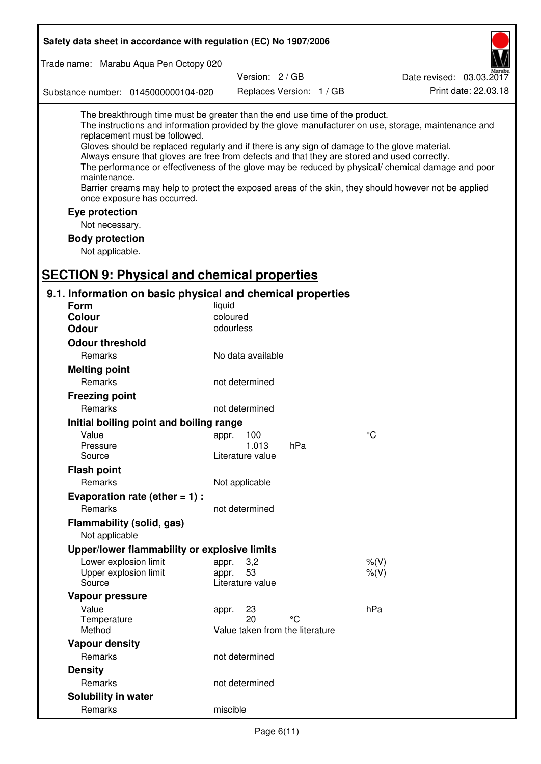| Safety data sheet in accordance with regulation (EC) No 1907/2006                                                                                                                                                                                                                                                                                            |                             |                                 |                                                                                                                                                                                                                                                                                                                    |
|--------------------------------------------------------------------------------------------------------------------------------------------------------------------------------------------------------------------------------------------------------------------------------------------------------------------------------------------------------------|-----------------------------|---------------------------------|--------------------------------------------------------------------------------------------------------------------------------------------------------------------------------------------------------------------------------------------------------------------------------------------------------------------|
| Trade name: Marabu Aqua Pen Octopy 020                                                                                                                                                                                                                                                                                                                       |                             |                                 |                                                                                                                                                                                                                                                                                                                    |
|                                                                                                                                                                                                                                                                                                                                                              | Version: 2 / GB             |                                 | Date revised: 03.03.2017                                                                                                                                                                                                                                                                                           |
| Substance number: 0145000000104-020                                                                                                                                                                                                                                                                                                                          |                             | Replaces Version: 1 / GB        | Print date: 22.03.18                                                                                                                                                                                                                                                                                               |
| The breakthrough time must be greater than the end use time of the product.<br>replacement must be followed.<br>Gloves should be replaced regularly and if there is any sign of damage to the glove material.<br>Always ensure that gloves are free from defects and that they are stored and used correctly.<br>maintenance.<br>once exposure has occurred. |                             |                                 | The instructions and information provided by the glove manufacturer on use, storage, maintenance and<br>The performance or effectiveness of the glove may be reduced by physical/ chemical damage and poor<br>Barrier creams may help to protect the exposed areas of the skin, they should however not be applied |
| Eye protection                                                                                                                                                                                                                                                                                                                                               |                             |                                 |                                                                                                                                                                                                                                                                                                                    |
| Not necessary.                                                                                                                                                                                                                                                                                                                                               |                             |                                 |                                                                                                                                                                                                                                                                                                                    |
| <b>Body protection</b>                                                                                                                                                                                                                                                                                                                                       |                             |                                 |                                                                                                                                                                                                                                                                                                                    |
| Not applicable.                                                                                                                                                                                                                                                                                                                                              |                             |                                 |                                                                                                                                                                                                                                                                                                                    |
|                                                                                                                                                                                                                                                                                                                                                              |                             |                                 |                                                                                                                                                                                                                                                                                                                    |
| <b>SECTION 9: Physical and chemical properties</b>                                                                                                                                                                                                                                                                                                           |                             |                                 |                                                                                                                                                                                                                                                                                                                    |
| 9.1. Information on basic physical and chemical properties                                                                                                                                                                                                                                                                                                   |                             |                                 |                                                                                                                                                                                                                                                                                                                    |
| <b>Form</b>                                                                                                                                                                                                                                                                                                                                                  | liquid                      |                                 |                                                                                                                                                                                                                                                                                                                    |
| <b>Colour</b>                                                                                                                                                                                                                                                                                                                                                | coloured                    |                                 |                                                                                                                                                                                                                                                                                                                    |
| <b>Odour</b>                                                                                                                                                                                                                                                                                                                                                 | odourless                   |                                 |                                                                                                                                                                                                                                                                                                                    |
| <b>Odour threshold</b>                                                                                                                                                                                                                                                                                                                                       |                             |                                 |                                                                                                                                                                                                                                                                                                                    |
| Remarks                                                                                                                                                                                                                                                                                                                                                      | No data available           |                                 |                                                                                                                                                                                                                                                                                                                    |
| <b>Melting point</b>                                                                                                                                                                                                                                                                                                                                         |                             |                                 |                                                                                                                                                                                                                                                                                                                    |
| Remarks                                                                                                                                                                                                                                                                                                                                                      | not determined              |                                 |                                                                                                                                                                                                                                                                                                                    |
| <b>Freezing point</b>                                                                                                                                                                                                                                                                                                                                        |                             |                                 |                                                                                                                                                                                                                                                                                                                    |
| Remarks                                                                                                                                                                                                                                                                                                                                                      | not determined              |                                 |                                                                                                                                                                                                                                                                                                                    |
| Initial boiling point and boiling range                                                                                                                                                                                                                                                                                                                      |                             |                                 |                                                                                                                                                                                                                                                                                                                    |
| Value                                                                                                                                                                                                                                                                                                                                                        | appr. 100                   |                                 | $\rm ^{\circ}C$                                                                                                                                                                                                                                                                                                    |
| Pressure                                                                                                                                                                                                                                                                                                                                                     | 1.013                       | hPa                             |                                                                                                                                                                                                                                                                                                                    |
| Source                                                                                                                                                                                                                                                                                                                                                       | Literature value            |                                 |                                                                                                                                                                                                                                                                                                                    |
| <b>Flash point</b>                                                                                                                                                                                                                                                                                                                                           |                             |                                 |                                                                                                                                                                                                                                                                                                                    |
| Remarks                                                                                                                                                                                                                                                                                                                                                      | Not applicable              |                                 |                                                                                                                                                                                                                                                                                                                    |
| Evaporation rate (ether $= 1$ ) :                                                                                                                                                                                                                                                                                                                            |                             |                                 |                                                                                                                                                                                                                                                                                                                    |
| Remarks                                                                                                                                                                                                                                                                                                                                                      | not determined              |                                 |                                                                                                                                                                                                                                                                                                                    |
| Flammability (solid, gas)                                                                                                                                                                                                                                                                                                                                    |                             |                                 |                                                                                                                                                                                                                                                                                                                    |
| Not applicable                                                                                                                                                                                                                                                                                                                                               |                             |                                 |                                                                                                                                                                                                                                                                                                                    |
| Upper/lower flammability or explosive limits                                                                                                                                                                                                                                                                                                                 |                             |                                 |                                                                                                                                                                                                                                                                                                                    |
| Lower explosion limit<br>Upper explosion limit                                                                                                                                                                                                                                                                                                               | 3,2<br>appr.<br>53<br>appr. |                                 | $%$ (V)<br>$%$ (V)                                                                                                                                                                                                                                                                                                 |
| Source                                                                                                                                                                                                                                                                                                                                                       | Literature value            |                                 |                                                                                                                                                                                                                                                                                                                    |
| Vapour pressure                                                                                                                                                                                                                                                                                                                                              |                             |                                 |                                                                                                                                                                                                                                                                                                                    |
| Value                                                                                                                                                                                                                                                                                                                                                        | 23<br>appr.                 |                                 | hPa                                                                                                                                                                                                                                                                                                                |
| Temperature                                                                                                                                                                                                                                                                                                                                                  | 20                          | °C                              |                                                                                                                                                                                                                                                                                                                    |
| Method                                                                                                                                                                                                                                                                                                                                                       |                             | Value taken from the literature |                                                                                                                                                                                                                                                                                                                    |
| <b>Vapour density</b>                                                                                                                                                                                                                                                                                                                                        |                             |                                 |                                                                                                                                                                                                                                                                                                                    |
| Remarks                                                                                                                                                                                                                                                                                                                                                      | not determined              |                                 |                                                                                                                                                                                                                                                                                                                    |
| <b>Density</b>                                                                                                                                                                                                                                                                                                                                               |                             |                                 |                                                                                                                                                                                                                                                                                                                    |
| Remarks                                                                                                                                                                                                                                                                                                                                                      | not determined              |                                 |                                                                                                                                                                                                                                                                                                                    |
| Solubility in water                                                                                                                                                                                                                                                                                                                                          |                             |                                 |                                                                                                                                                                                                                                                                                                                    |
| Remarks                                                                                                                                                                                                                                                                                                                                                      | miscible                    |                                 |                                                                                                                                                                                                                                                                                                                    |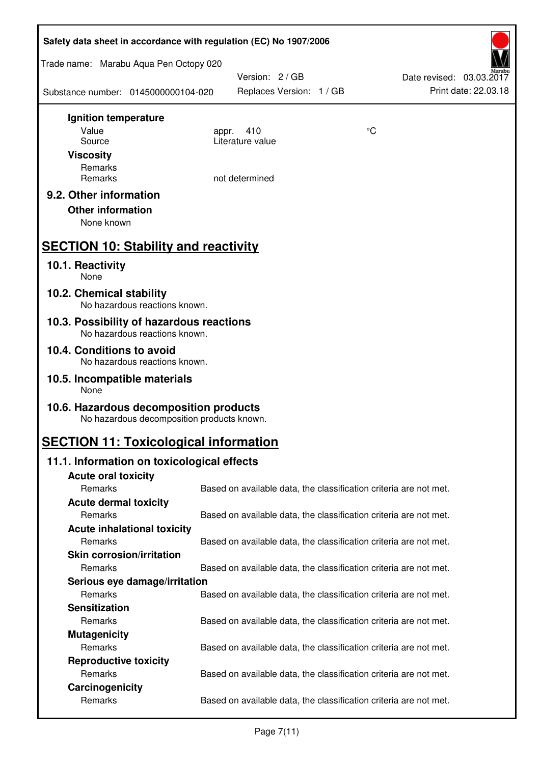| Safety data sheet in accordance with regulation (EC) No 1907/2006                    |                                                                   |    |                                                  |
|--------------------------------------------------------------------------------------|-------------------------------------------------------------------|----|--------------------------------------------------|
| Trade name: Marabu Aqua Pen Octopy 020                                               |                                                                   |    |                                                  |
| Substance number: 0145000000104-020                                                  | Version: 2 / GB<br>Replaces Version: 1 / GB                       |    | Date revised: 03.03.2017<br>Print date: 22.03.18 |
| Ignition temperature                                                                 |                                                                   |    |                                                  |
| Value<br>Source                                                                      | 410<br>appr.<br>Literature value                                  | °C |                                                  |
| <b>Viscosity</b>                                                                     |                                                                   |    |                                                  |
| Remarks                                                                              |                                                                   |    |                                                  |
| Remarks                                                                              | not determined                                                    |    |                                                  |
| 9.2. Other information<br><b>Other information</b><br>None known                     |                                                                   |    |                                                  |
| <b>SECTION 10: Stability and reactivity</b>                                          |                                                                   |    |                                                  |
| 10.1. Reactivity<br>None                                                             |                                                                   |    |                                                  |
| 10.2. Chemical stability<br>No hazardous reactions known.                            |                                                                   |    |                                                  |
| 10.3. Possibility of hazardous reactions<br>No hazardous reactions known.            |                                                                   |    |                                                  |
| 10.4. Conditions to avoid<br>No hazardous reactions known.                           |                                                                   |    |                                                  |
| 10.5. Incompatible materials<br>None                                                 |                                                                   |    |                                                  |
| 10.6. Hazardous decomposition products<br>No hazardous decomposition products known. |                                                                   |    |                                                  |
| <b>SECTION 11: Toxicological information</b>                                         |                                                                   |    |                                                  |
| 11.1. Information on toxicological effects                                           |                                                                   |    |                                                  |
| <b>Acute oral toxicity</b>                                                           |                                                                   |    |                                                  |
| Remarks                                                                              | Based on available data, the classification criteria are not met. |    |                                                  |
| <b>Acute dermal toxicity</b><br>Remarks                                              | Based on available data, the classification criteria are not met. |    |                                                  |
| <b>Acute inhalational toxicity</b>                                                   |                                                                   |    |                                                  |
| Remarks                                                                              | Based on available data, the classification criteria are not met. |    |                                                  |
| <b>Skin corrosion/irritation</b>                                                     |                                                                   |    |                                                  |
| Remarks                                                                              | Based on available data, the classification criteria are not met. |    |                                                  |
| Serious eye damage/irritation                                                        |                                                                   |    |                                                  |
| Remarks                                                                              | Based on available data, the classification criteria are not met. |    |                                                  |
| <b>Sensitization</b>                                                                 |                                                                   |    |                                                  |
| Remarks                                                                              | Based on available data, the classification criteria are not met. |    |                                                  |
| <b>Mutagenicity</b><br>Remarks                                                       |                                                                   |    |                                                  |
| <b>Reproductive toxicity</b>                                                         | Based on available data, the classification criteria are not met. |    |                                                  |
| Remarks                                                                              | Based on available data, the classification criteria are not met. |    |                                                  |
| Carcinogenicity                                                                      |                                                                   |    |                                                  |
| Remarks                                                                              | Based on available data, the classification criteria are not met. |    |                                                  |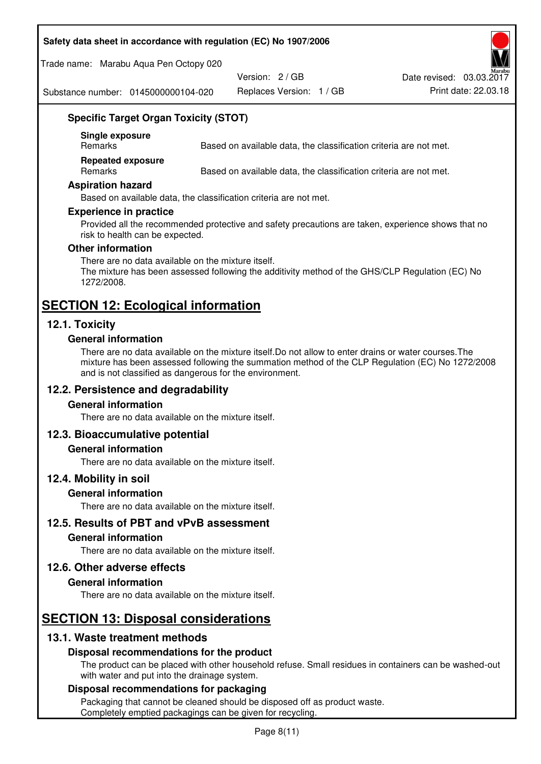### **Safety data sheet in accordance with regulation (EC) No 1907/2006**

Trade name: Marabu Aqua Pen Octopy 020

Version: 2 / GB

Replaces Version: 1 / GB Print date: 22.03.18 Date revised: 03.03.2017

Substance number: 0145000000104-020

# **Specific Target Organ Toxicity (STOT)**

**Single exposure** 

Based on available data, the classification criteria are not met.

**Repeated exposure** 

Remarks Based on available data, the classification criteria are not met.

#### **Aspiration hazard**

Based on available data, the classification criteria are not met.

#### **Experience in practice**

Provided all the recommended protective and safety precautions are taken, experience shows that no risk to health can be expected.

#### **Other information**

There are no data available on the mixture itself. The mixture has been assessed following the additivity method of the GHS/CLP Regulation (EC) No 1272/2008.

# **SECTION 12: Ecological information**

# **12.1. Toxicity**

#### **General information**

There are no data available on the mixture itself.Do not allow to enter drains or water courses.The mixture has been assessed following the summation method of the CLP Regulation (EC) No 1272/2008 and is not classified as dangerous for the environment.

#### **12.2. Persistence and degradability**

#### **General information**

There are no data available on the mixture itself.

#### **12.3. Bioaccumulative potential**

#### **General information**

There are no data available on the mixture itself.

#### **12.4. Mobility in soil**

#### **General information**

There are no data available on the mixture itself.

**12.5. Results of PBT and vPvB assessment** 

### **General information**

There are no data available on the mixture itself.

#### **12.6. Other adverse effects**

#### **General information**

There are no data available on the mixture itself.

# **SECTION 13: Disposal considerations**

# **13.1. Waste treatment methods**

#### **Disposal recommendations for the product**

The product can be placed with other household refuse. Small residues in containers can be washed-out with water and put into the drainage system.

#### **Disposal recommendations for packaging**

Packaging that cannot be cleaned should be disposed off as product waste. Completely emptied packagings can be given for recycling.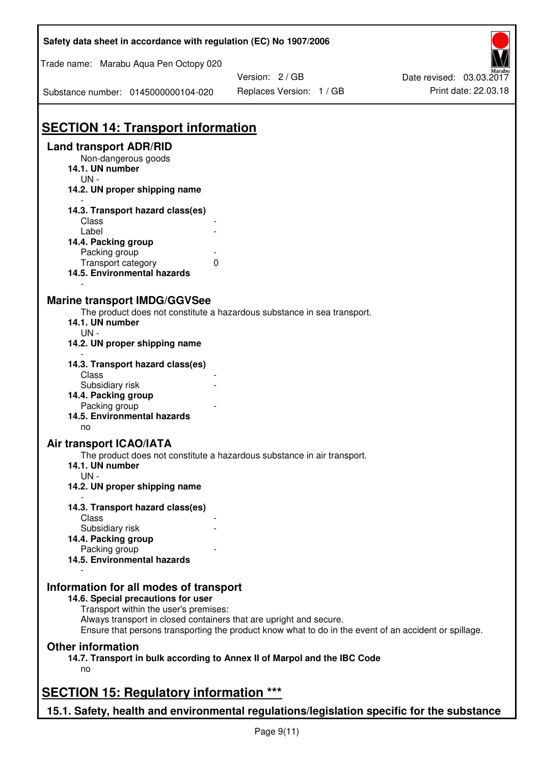| Safety data sheet in accordance with regulation (EC) No 1907/2006                         |                                                                                                       |                          |
|-------------------------------------------------------------------------------------------|-------------------------------------------------------------------------------------------------------|--------------------------|
| Trade name: Marabu Aqua Pen Octopy 020                                                    |                                                                                                       |                          |
|                                                                                           | Version: 2 / GB                                                                                       | Date revised: 03.03.2017 |
| Substance number: 0145000000104-020                                                       | Replaces Version: 1 / GB                                                                              | Print date: 22.03.18     |
| <b>SECTION 14: Transport information</b>                                                  |                                                                                                       |                          |
| <b>Land transport ADR/RID</b>                                                             |                                                                                                       |                          |
| Non-dangerous goods                                                                       |                                                                                                       |                          |
| 14.1. UN number                                                                           |                                                                                                       |                          |
| $UN -$                                                                                    |                                                                                                       |                          |
| 14.2. UN proper shipping name                                                             |                                                                                                       |                          |
| 14.3. Transport hazard class(es)                                                          |                                                                                                       |                          |
| Class                                                                                     |                                                                                                       |                          |
| Label                                                                                     |                                                                                                       |                          |
| 14.4. Packing group                                                                       |                                                                                                       |                          |
| Packing group                                                                             |                                                                                                       |                          |
| Transport category                                                                        | 0                                                                                                     |                          |
| 14.5. Environmental hazards                                                               |                                                                                                       |                          |
|                                                                                           |                                                                                                       |                          |
| <b>Marine transport IMDG/GGVSee</b>                                                       |                                                                                                       |                          |
|                                                                                           | The product does not constitute a hazardous substance in sea transport.                               |                          |
| 14.1. UN number                                                                           |                                                                                                       |                          |
| $UN -$                                                                                    |                                                                                                       |                          |
| 14.2. UN proper shipping name                                                             |                                                                                                       |                          |
|                                                                                           |                                                                                                       |                          |
| 14.3. Transport hazard class(es)                                                          |                                                                                                       |                          |
| Class                                                                                     |                                                                                                       |                          |
| Subsidiary risk                                                                           |                                                                                                       |                          |
| 14.4. Packing group                                                                       |                                                                                                       |                          |
| Packing group                                                                             |                                                                                                       |                          |
| 14.5. Environmental hazards                                                               |                                                                                                       |                          |
| no                                                                                        |                                                                                                       |                          |
| Air transport ICAO/IATA                                                                   |                                                                                                       |                          |
|                                                                                           | The product does not constitute a hazardous substance in air transport.                               |                          |
| 14.1. UN number                                                                           |                                                                                                       |                          |
| $UN -$                                                                                    |                                                                                                       |                          |
| 14.2. UN proper shipping name                                                             |                                                                                                       |                          |
| 14.3. Transport hazard class(es)                                                          |                                                                                                       |                          |
| Class                                                                                     |                                                                                                       |                          |
| Subsidiary risk                                                                           |                                                                                                       |                          |
| 14.4. Packing group                                                                       |                                                                                                       |                          |
| Packing group                                                                             |                                                                                                       |                          |
| 14.5. Environmental hazards                                                               |                                                                                                       |                          |
|                                                                                           |                                                                                                       |                          |
| Information for all modes of transport                                                    |                                                                                                       |                          |
| 14.6. Special precautions for user                                                        |                                                                                                       |                          |
| Transport within the user's premises:                                                     |                                                                                                       |                          |
| Always transport in closed containers that are upright and secure.                        |                                                                                                       |                          |
|                                                                                           | Ensure that persons transporting the product know what to do in the event of an accident or spillage. |                          |
| <b>Other information</b>                                                                  |                                                                                                       |                          |
|                                                                                           | 14.7. Transport in bulk according to Annex II of Marpol and the IBC Code                              |                          |
| no                                                                                        |                                                                                                       |                          |
|                                                                                           |                                                                                                       |                          |
| <b>SECTION 15: Regulatory information ***</b>                                             |                                                                                                       |                          |
|                                                                                           |                                                                                                       |                          |
| 15.1. Safety, health and environmental regulations/legislation specific for the substance |                                                                                                       |                          |

Ī

٦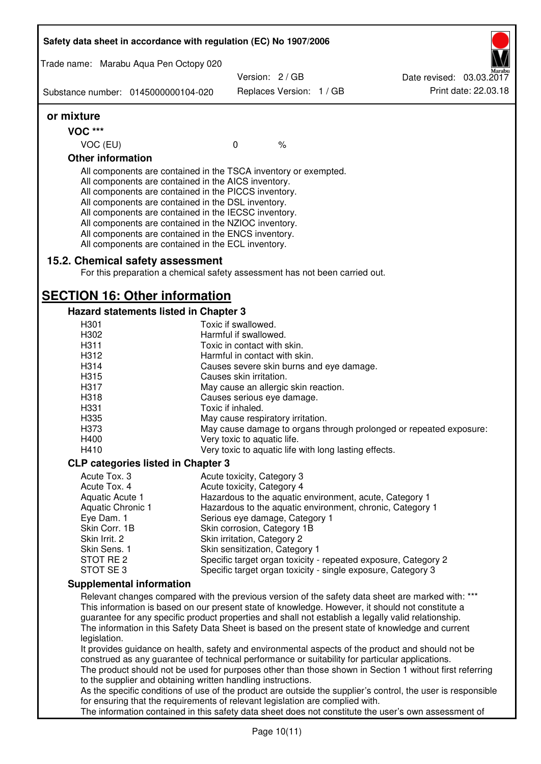|                                 | Safety data sheet in accordance with regulation (EC) No 1907/2006                                                                                                                                                                                                                                                                                                                                                                                                 |                                                       |                          |                                                                                                                                                                                                         |
|---------------------------------|-------------------------------------------------------------------------------------------------------------------------------------------------------------------------------------------------------------------------------------------------------------------------------------------------------------------------------------------------------------------------------------------------------------------------------------------------------------------|-------------------------------------------------------|--------------------------|---------------------------------------------------------------------------------------------------------------------------------------------------------------------------------------------------------|
|                                 | Trade name: Marabu Aqua Pen Octopy 020                                                                                                                                                                                                                                                                                                                                                                                                                            | Version: 2/GB                                         |                          | Date revised: 03.03.2017                                                                                                                                                                                |
|                                 | Substance number: 0145000000104-020                                                                                                                                                                                                                                                                                                                                                                                                                               |                                                       | Replaces Version: 1 / GB | Print date: 22.03.18                                                                                                                                                                                    |
| or mixture                      |                                                                                                                                                                                                                                                                                                                                                                                                                                                                   |                                                       |                          |                                                                                                                                                                                                         |
| <b>VOC ***</b>                  |                                                                                                                                                                                                                                                                                                                                                                                                                                                                   |                                                       |                          |                                                                                                                                                                                                         |
| VOC (EU)                        |                                                                                                                                                                                                                                                                                                                                                                                                                                                                   | $\mathbf 0$                                           | $\%$                     |                                                                                                                                                                                                         |
| <b>Other information</b>        |                                                                                                                                                                                                                                                                                                                                                                                                                                                                   |                                                       |                          |                                                                                                                                                                                                         |
|                                 | All components are contained in the TSCA inventory or exempted.<br>All components are contained in the AICS inventory.<br>All components are contained in the PICCS inventory.<br>All components are contained in the DSL inventory.<br>All components are contained in the IECSC inventory.<br>All components are contained in the NZIOC inventory.<br>All components are contained in the ENCS inventory.<br>All components are contained in the ECL inventory. |                                                       |                          |                                                                                                                                                                                                         |
|                                 | 15.2. Chemical safety assessment<br>For this preparation a chemical safety assessment has not been carried out.                                                                                                                                                                                                                                                                                                                                                   |                                                       |                          |                                                                                                                                                                                                         |
|                                 | <b>SECTION 16: Other information</b>                                                                                                                                                                                                                                                                                                                                                                                                                              |                                                       |                          |                                                                                                                                                                                                         |
|                                 | <b>Hazard statements listed in Chapter 3</b>                                                                                                                                                                                                                                                                                                                                                                                                                      |                                                       |                          |                                                                                                                                                                                                         |
| H301                            |                                                                                                                                                                                                                                                                                                                                                                                                                                                                   | Toxic if swallowed.                                   |                          |                                                                                                                                                                                                         |
| H302                            |                                                                                                                                                                                                                                                                                                                                                                                                                                                                   | Harmful if swallowed.                                 |                          |                                                                                                                                                                                                         |
| H311                            |                                                                                                                                                                                                                                                                                                                                                                                                                                                                   | Toxic in contact with skin.                           |                          |                                                                                                                                                                                                         |
| H312                            |                                                                                                                                                                                                                                                                                                                                                                                                                                                                   | Harmful in contact with skin.                         |                          |                                                                                                                                                                                                         |
| H314                            |                                                                                                                                                                                                                                                                                                                                                                                                                                                                   | Causes severe skin burns and eye damage.              |                          |                                                                                                                                                                                                         |
| H315                            |                                                                                                                                                                                                                                                                                                                                                                                                                                                                   | Causes skin irritation.                               |                          |                                                                                                                                                                                                         |
| H317                            |                                                                                                                                                                                                                                                                                                                                                                                                                                                                   | May cause an allergic skin reaction.                  |                          |                                                                                                                                                                                                         |
| H318                            |                                                                                                                                                                                                                                                                                                                                                                                                                                                                   | Causes serious eye damage.                            |                          |                                                                                                                                                                                                         |
| H331                            |                                                                                                                                                                                                                                                                                                                                                                                                                                                                   | Toxic if inhaled.                                     |                          |                                                                                                                                                                                                         |
| H335                            |                                                                                                                                                                                                                                                                                                                                                                                                                                                                   | May cause respiratory irritation.                     |                          |                                                                                                                                                                                                         |
| H373                            |                                                                                                                                                                                                                                                                                                                                                                                                                                                                   |                                                       |                          | May cause damage to organs through prolonged or repeated exposure:                                                                                                                                      |
| H400<br>H410                    |                                                                                                                                                                                                                                                                                                                                                                                                                                                                   | Very toxic to aquatic life.                           |                          |                                                                                                                                                                                                         |
|                                 |                                                                                                                                                                                                                                                                                                                                                                                                                                                                   | Very toxic to aquatic life with long lasting effects. |                          |                                                                                                                                                                                                         |
|                                 | <b>CLP categories listed in Chapter 3</b>                                                                                                                                                                                                                                                                                                                                                                                                                         |                                                       |                          |                                                                                                                                                                                                         |
| Acute Tox. 3                    |                                                                                                                                                                                                                                                                                                                                                                                                                                                                   | Acute toxicity, Category 3                            |                          |                                                                                                                                                                                                         |
| Acute Tox. 4                    |                                                                                                                                                                                                                                                                                                                                                                                                                                                                   | Acute toxicity, Category 4                            |                          |                                                                                                                                                                                                         |
| Aquatic Acute 1                 |                                                                                                                                                                                                                                                                                                                                                                                                                                                                   |                                                       |                          | Hazardous to the aquatic environment, acute, Category 1                                                                                                                                                 |
| Aquatic Chronic 1<br>Eye Dam. 1 |                                                                                                                                                                                                                                                                                                                                                                                                                                                                   | Serious eye damage, Category 1                        |                          | Hazardous to the aquatic environment, chronic, Category 1                                                                                                                                               |
| Skin Corr. 1B                   |                                                                                                                                                                                                                                                                                                                                                                                                                                                                   | Skin corrosion, Category 1B                           |                          |                                                                                                                                                                                                         |
| Skin Irrit. 2                   |                                                                                                                                                                                                                                                                                                                                                                                                                                                                   | Skin irritation, Category 2                           |                          |                                                                                                                                                                                                         |
| Skin Sens. 1                    |                                                                                                                                                                                                                                                                                                                                                                                                                                                                   | Skin sensitization, Category 1                        |                          |                                                                                                                                                                                                         |
| STOT RE 2                       |                                                                                                                                                                                                                                                                                                                                                                                                                                                                   |                                                       |                          | Specific target organ toxicity - repeated exposure, Category 2                                                                                                                                          |
| STOT SE3                        |                                                                                                                                                                                                                                                                                                                                                                                                                                                                   |                                                       |                          | Specific target organ toxicity - single exposure, Category 3                                                                                                                                            |
|                                 | <b>Supplemental information</b>                                                                                                                                                                                                                                                                                                                                                                                                                                   |                                                       |                          |                                                                                                                                                                                                         |
|                                 |                                                                                                                                                                                                                                                                                                                                                                                                                                                                   |                                                       |                          | Relevant changes compared with the previous version of the safety data sheet are marked with: ***                                                                                                       |
|                                 |                                                                                                                                                                                                                                                                                                                                                                                                                                                                   |                                                       |                          | This information is based on our present state of knowledge. However, it should not constitute a                                                                                                        |
|                                 |                                                                                                                                                                                                                                                                                                                                                                                                                                                                   |                                                       |                          | guarantee for any specific product properties and shall not establish a legally valid relationship.<br>The information in this Safety Data Sheet is based on the present state of knowledge and current |
| legislation.                    |                                                                                                                                                                                                                                                                                                                                                                                                                                                                   |                                                       |                          |                                                                                                                                                                                                         |
|                                 |                                                                                                                                                                                                                                                                                                                                                                                                                                                                   |                                                       |                          | It provides guidance on health, safety and environmental aspects of the product and should not be                                                                                                       |
|                                 | construed as any guarantee of technical performance or suitability for particular applications.                                                                                                                                                                                                                                                                                                                                                                   |                                                       |                          | The product should not be used for purposes other than those shown in Section 1 without first referring                                                                                                 |
|                                 | to the supplier and obtaining written handling instructions.                                                                                                                                                                                                                                                                                                                                                                                                      |                                                       |                          |                                                                                                                                                                                                         |
|                                 |                                                                                                                                                                                                                                                                                                                                                                                                                                                                   |                                                       |                          | As the specific conditions of use of the product are outside the supplier's control, the user is responsible                                                                                            |
|                                 | for ensuring that the requirements of relevant legislation are complied with.                                                                                                                                                                                                                                                                                                                                                                                     |                                                       |                          |                                                                                                                                                                                                         |
|                                 |                                                                                                                                                                                                                                                                                                                                                                                                                                                                   |                                                       |                          | The information contained in this safety data sheet does not constitute the user's own assessment of                                                                                                    |